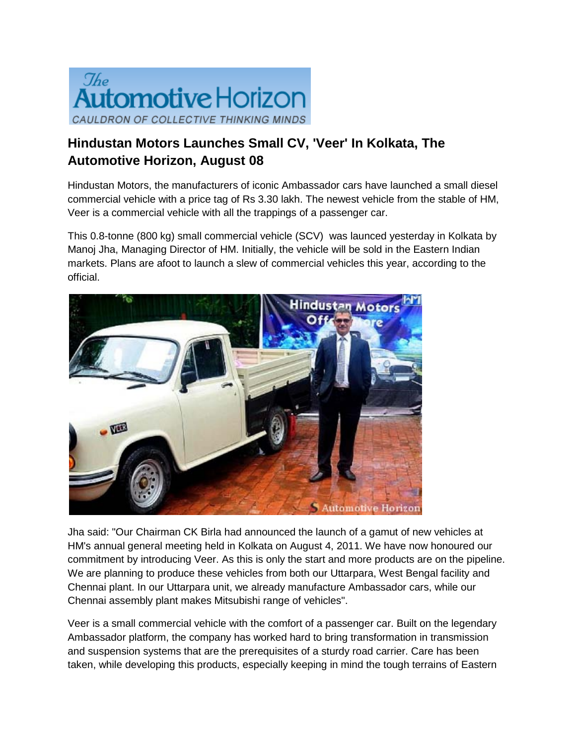

## **Hindustan Motors Launches Small CV, 'Veer' In Kolkata, The Automotive Horizon, August 08**

Hindustan Motors, the manufacturers of iconic Ambassador cars have launched a small diesel commercial vehicle with a price tag of Rs 3.30 lakh. The newest vehicle from the stable of HM, Veer is a commercial vehicle with all the trappings of a passenger car.

This 0.8-tonne (800 kg) small commercial vehicle (SCV) was launced yesterday in Kolkata by Manoj Jha, Managing Director of HM. Initially, the vehicle will be sold in the Eastern Indian markets. Plans are afoot to launch a slew of commercial vehicles this year, according to the official.



Jha said: "Our Chairman CK Birla had announced the launch of a gamut of new vehicles at HM's annual general meeting held in Kolkata on August 4, 2011. We have now honoured our commitment by introducing Veer. As this is only the start and more products are on the pipeline. We are planning to produce these vehicles from both our Uttarpara, West Bengal facility and Chennai plant. In our Uttarpara unit, we already manufacture Ambassador cars, while our Chennai assembly plant makes Mitsubishi range of vehicles".

Veer is a small commercial vehicle with the comfort of a passenger car. Built on the legendary Ambassador platform, the company has worked hard to bring transformation in transmission and suspension systems that are the prerequisites of a sturdy road carrier. Care has been taken, while developing this products, especially keeping in mind the tough terrains of Eastern